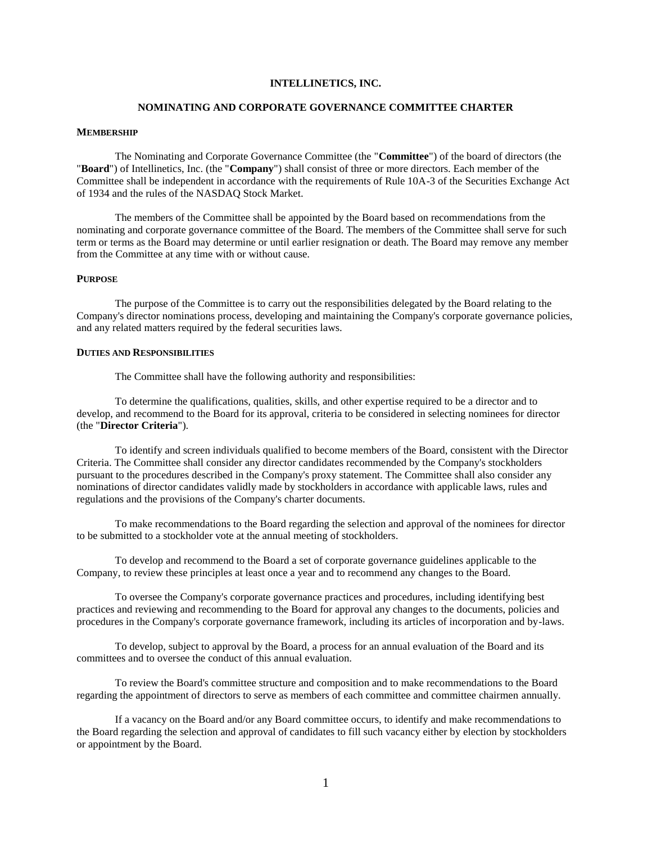# **INTELLINETICS, INC.**

### **NOMINATING AND CORPORATE GOVERNANCE COMMITTEE CHARTER**

#### **MEMBERSHIP**

The Nominating and Corporate Governance Committee (the "**Committee**") of the board of directors (the "**Board**") of Intellinetics, Inc. (the "**Company**") shall consist of three or more directors. Each member of the Committee shall be independent in accordance with the requirements of Rule 10A-3 of the Securities Exchange Act of 1934 and the rules of the NASDAQ Stock Market.

The members of the Committee shall be appointed by the Board based on recommendations from the nominating and corporate governance committee of the Board. The members of the Committee shall serve for such term or terms as the Board may determine or until earlier resignation or death. The Board may remove any member from the Committee at any time with or without cause.

### **PURPOSE**

The purpose of the Committee is to carry out the responsibilities delegated by the Board relating to the Company's director nominations process, developing and maintaining the Company's corporate governance policies, and any related matters required by the federal securities laws.

## **DUTIES AND RESPONSIBILITIES**

The Committee shall have the following authority and responsibilities:

To determine the qualifications, qualities, skills, and other expertise required to be a director and to develop, and recommend to the Board for its approval, criteria to be considered in selecting nominees for director (the "**Director Criteria**").

To identify and screen individuals qualified to become members of the Board, consistent with the Director Criteria. The Committee shall consider any director candidates recommended by the Company's stockholders pursuant to the procedures described in the Company's proxy statement. The Committee shall also consider any nominations of director candidates validly made by stockholders in accordance with applicable laws, rules and regulations and the provisions of the Company's charter documents.

To make recommendations to the Board regarding the selection and approval of the nominees for director to be submitted to a stockholder vote at the annual meeting of stockholders.

To develop and recommend to the Board a set of corporate governance guidelines applicable to the Company, to review these principles at least once a year and to recommend any changes to the Board.

To oversee the Company's corporate governance practices and procedures, including identifying best practices and reviewing and recommending to the Board for approval any changes to the documents, policies and procedures in the Company's corporate governance framework, including its articles of incorporation and by-laws.

To develop, subject to approval by the Board, a process for an annual evaluation of the Board and its committees and to oversee the conduct of this annual evaluation.

To review the Board's committee structure and composition and to make recommendations to the Board regarding the appointment of directors to serve as members of each committee and committee chairmen annually.

If a vacancy on the Board and/or any Board committee occurs, to identify and make recommendations to the Board regarding the selection and approval of candidates to fill such vacancy either by election by stockholders or appointment by the Board.